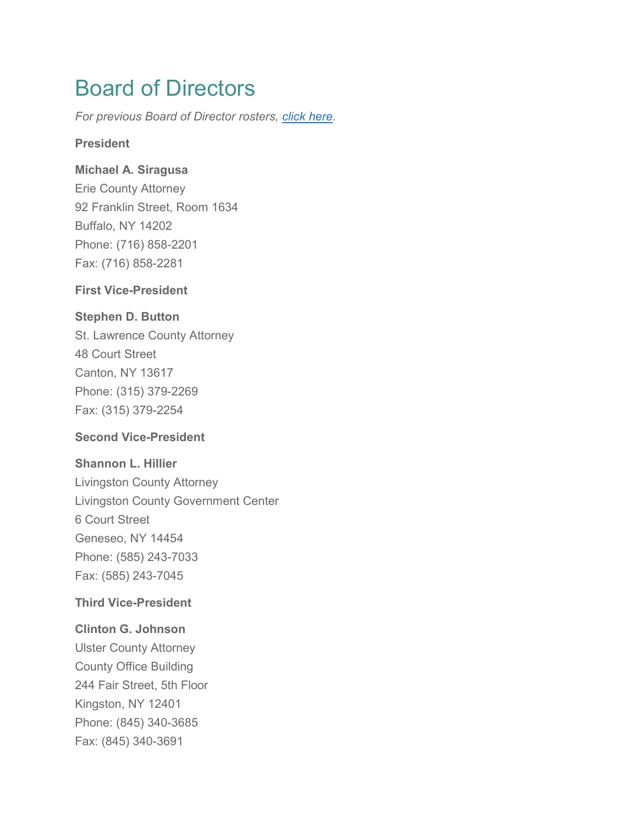# Board of Directors

*For previous Board of Director rosters, [click here.](https://www.caasny.org/?page_id=989&preview=true)*

## **President**

# **Michael A. Siragusa**

Erie County Attorney 92 Franklin Street, Room 1634 Buffalo, NY 14202 Phone: (716) 858-2201 Fax: (716) 858-2281

# **First Vice-President**

# **Stephen D. Button**

St. Lawrence County Attorney 48 Court Street Canton, NY 13617 Phone: (315) 379-2269 Fax: (315) 379-2254

# **Second Vice-President**

#### **Shannon L. Hillier**

Livingston County Attorney Livingston County Government Center 6 Court Street Geneseo, NY 14454 Phone: (585) 243-7033 Fax: (585) 243-7045

# **Third Vice-President**

# **Clinton G. Johnson**

Ulster County Attorney County Office Building 244 Fair Street, 5th Floor Kingston, NY 12401 Phone: (845) 340-3685 Fax: (845) 340-3691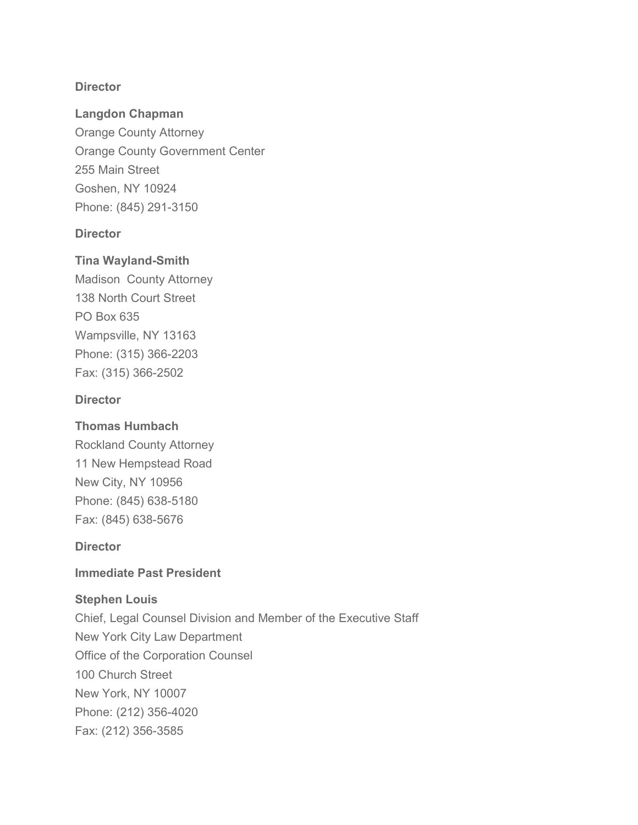## **Director**

## **Langdon Chapman**

Orange County Attorney Orange County Government Center 255 Main Street Goshen, NY 10924 Phone: (845) 291-3150

## **Director**

# **Tina Wayland-Smith**

Madison County Attorney 138 North Court Street PO Box 635 Wampsville, NY 13163 Phone: (315) 366-2203 Fax: (315) 366-2502

## **Director**

# **Thomas Humbach**

Rockland County Attorney 11 New Hempstead Road New City, NY 10956 Phone: (845) 638-5180 Fax: (845) 638-5676

#### **Director**

#### **Immediate Past President**

# **Stephen Louis**

Chief, Legal Counsel Division and Member of the Executive Staff New York City Law Department Office of the Corporation Counsel 100 Church Street New York, NY 10007 Phone: (212) 356-4020 Fax: (212) 356-3585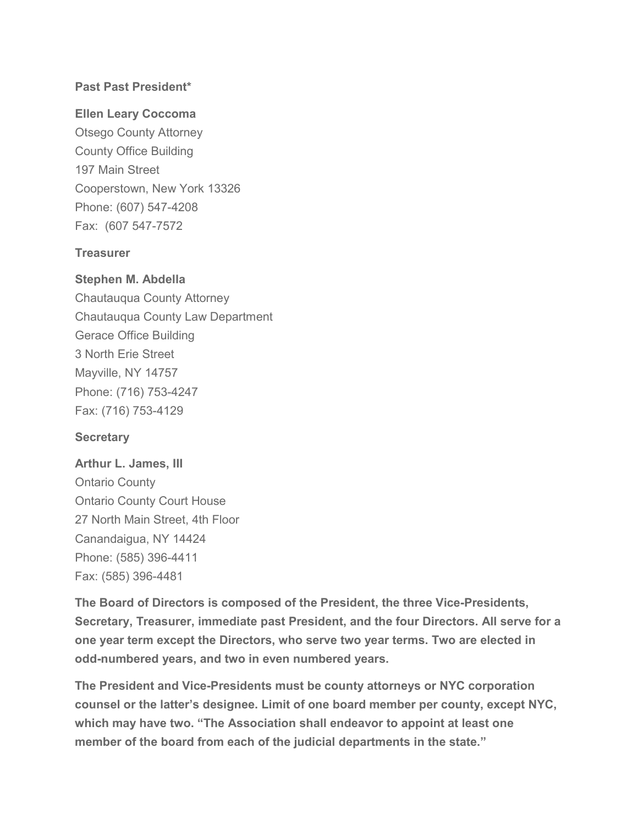# **Past Past President\***

# **Ellen Leary Coccoma**

Otsego County Attorney County Office Building 197 Main Street Cooperstown, New York 13326 Phone: (607) 547-4208 Fax: (607 547-7572

# **Treasurer**

# **Stephen M. Abdella**

Chautauqua County Attorney Chautauqua County Law Department Gerace Office Building 3 North Erie Street Mayville, NY 14757 Phone: (716) 753-4247 Fax: (716) 753-4129

# **Secretary**

**Arthur L. James, III** Ontario County Ontario County Court House 27 North Main Street, 4th Floor Canandaigua, NY 14424 Phone: (585) 396-4411 Fax: (585) 396-4481

**The Board of Directors is composed of the President, the three Vice-Presidents, Secretary, Treasurer, immediate past President, and the four Directors. All serve for a one year term except the Directors, who serve two year terms. Two are elected in odd-numbered years, and two in even numbered years.**

**The President and Vice-Presidents must be county attorneys or NYC corporation counsel or the latter's designee. Limit of one board member per county, except NYC, which may have two. "The Association shall endeavor to appoint at least one member of the board from each of the judicial departments in the state."**